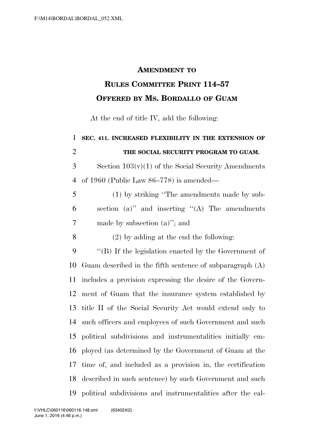## **AMENDMENT TO**

## **RULES COMMITTEE PRINT 114–57 OFFERED BY MS. BORDALLO OF GUAM**

At the end of title IV, add the following:

| $\mathbf{1}$   | SEC. 411. INCREASED FLEXIBILITY IN THE EXTENSION OF         |
|----------------|-------------------------------------------------------------|
| $\overline{2}$ | THE SOCIAL SECURITY PROGRAM TO GUAM.                        |
| 3              | Section $103(v)(1)$ of the Social Security Amendments       |
| $\overline{4}$ | of 1960 (Public Law $86-778$ ) is amended—                  |
| 5              | (1) by striking "The amendments made by sub-                |
| 6              | section (a)" and inserting " $(A)$ The amendments           |
| 7              | made by subsection $(a)$ "; and                             |
| 8              | $(2)$ by adding at the end the following:                   |
| 9              | "(B) If the legislation enacted by the Government of        |
| 10             | Guam described in the fifth sentence of subparagraph $(A)$  |
| 11             | includes a provision expressing the desire of the Govern-   |
| 12             | ment of Guam that the insurance system established by       |
| 13             | title II of the Social Security Act would extend only to    |
| 14             | such officers and employees of such Government and such     |
| 15             | political subdivisions and instrumentalities initially em-  |
| 16             | ployed (as determined by the Government of Guam at the      |
| 17             | time of, and included as a provision in, the certification  |
| 18             | described in such sentence) by such Government and such     |
| 19             | political subdivisions and instrumentalities after the cal- |